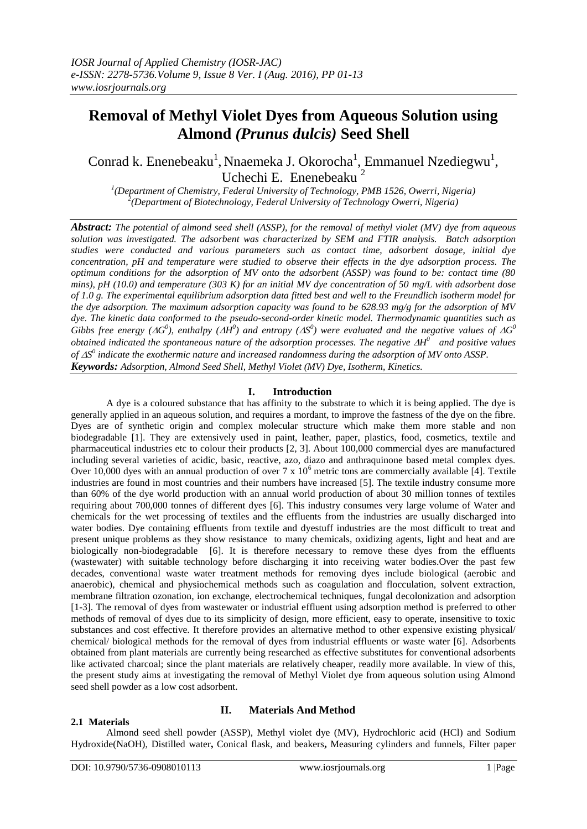# **Removal of Methyl Violet Dyes from Aqueous Solution using Almond** *(Prunus dulcis)* **Seed Shell**

Conrad k. Enenebeaku<sup>1</sup>, Nnaemeka J. Okorocha<sup>1</sup>, Emmanuel Nzediegwu<sup>1</sup>, Uchechi E. Enenebeaku<sup>2</sup>

*1 (Department of Chemistry, Federal University of Technology, PMB 1526, Owerri, Nigeria) 2 (Department of Biotechnology, Federal University of Technology Owerri, Nigeria)*

*Abstract: The potential of almond seed shell (ASSP), for the removal of methyl violet (MV) dye from aqueous solution was investigated. The adsorbent was characterized by SEM and FTIR analysis. Batch adsorption studies were conducted and various parameters such as contact time, adsorbent dosage, initial dye concentration, pH and temperature were studied to observe their effects in the dye adsorption process. The optimum conditions for the adsorption of MV onto the adsorbent (ASSP) was found to be: contact time (80 mins), pH (10.0) and temperature (303 K) for an initial MV dye concentration of 50 mg/L with adsorbent dose of 1.0 g. The experimental equilibrium adsorption data fitted best and well to the Freundlich isotherm model for the dye adsorption. The maximum adsorption capacity was found to be 628.93 mg/g for the adsorption of MV dye. The kinetic data conformed to the pseudo-second-order kinetic model. Thermodynamic quantities such as Gibbs free energy (* $\Delta G^0$ *), enthalpy (* $\Delta H^0$ *) and entropy (* $\Delta S^0$ *) were evaluated and the negative values of*  $\Delta G^0$ *obtained indicated the spontaneous nature of the adsorption processes. The negative H <sup>0</sup>and positive values of S 0 indicate the exothermic nature and increased randomness during the adsorption of MV onto ASSP. Keywords: Adsorption, Almond Seed Shell, Methyl Violet (MV) Dye, Isotherm, Kinetics.*

# **I. Introduction**

A dye is a coloured substance that has affinity to the substrate to which it is being applied. The dye is generally applied in an aqueous solution, and requires a mordant, to improve the fastness of the dye on the fibre. Dyes are of synthetic origin and complex molecular structure which make them more stable and non biodegradable [1]. They are extensively used in paint, leather, paper, plastics, food, cosmetics, textile and pharmaceutical industries etc to colour their products [2, 3]. About 100,000 commercial dyes are manufactured including several varieties of acidic, basic, reactive, azo, diazo and anthraquinone based metal complex dyes. Over 10,000 dyes with an annual production of over 7 x  $10^6$  metric tons are commercially available [4]. Textile industries are found in most countries and their numbers have increased [5]. The textile industry consume more than 60% of the dye world production with an annual world production of about 30 million tonnes of textiles requiring about 700,000 tonnes of different dyes [6]. This industry consumes very large volume of Water and chemicals for the wet processing of textiles and the effluents from the industries are usually discharged into water bodies. Dye containing effluents from textile and dyestuff industries are the most difficult to treat and present unique problems as they show resistance to many chemicals, oxidizing agents, light and heat and are biologically non-biodegradable [6]. It is therefore necessary to remove these dyes from the effluents (wastewater) with suitable technology before discharging it into receiving water bodies.Over the past few decades, conventional waste water treatment methods for removing dyes include biological (aerobic and anaerobic), chemical and physiochemical methods such as coagulation and flocculation, solvent extraction, membrane filtration ozonation, ion exchange, electrochemical techniques, fungal decolonization and adsorption [1-3]. The removal of dyes from wastewater or industrial effluent using adsorption method is preferred to other methods of removal of dyes due to its simplicity of design, more efficient, easy to operate, insensitive to toxic substances and cost effective. It therefore provides an alternative method to other expensive existing physical/ chemical/ biological methods for the removal of dyes from industrial effluents or waste water [6]. Adsorbents obtained from plant materials are currently being researched as effective substitutes for conventional adsorbents like activated charcoal; since the plant materials are relatively cheaper, readily more available. In view of this, the present study aims at investigating the removal of Methyl Violet dye from aqueous solution using Almond seed shell powder as a low cost adsorbent.

# **2.1 Materials**

# **II. Materials And Method**

Almond seed shell powder (ASSP), Methyl violet dye (MV), Hydrochloric acid (HCl) and Sodium Hydroxide(NaOH), Distilled water**,** Conical flask, and beakers**,** Measuring cylinders and funnels, Filter paper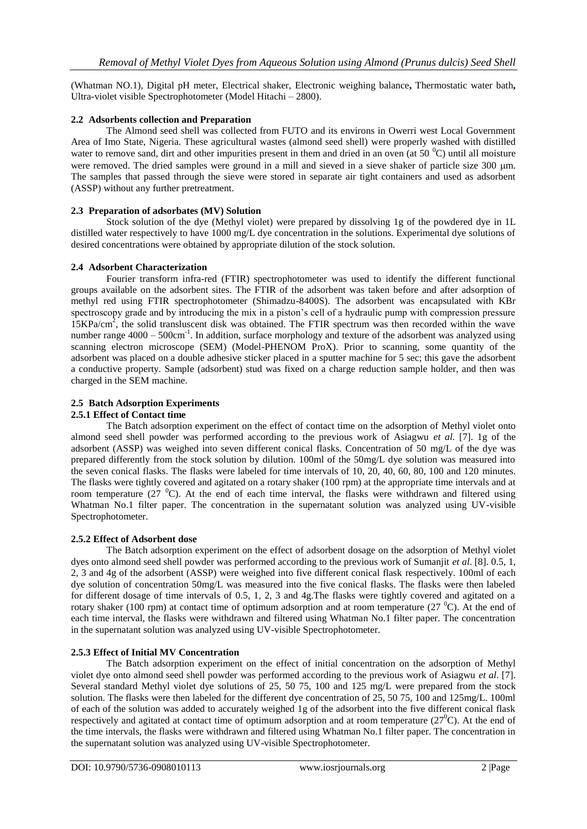(Whatman NO.1), Digital pH meter, Electrical shaker, Electronic weighing balance**,** Thermostatic water bath**,**  Ultra-violet visible Spectrophotometer (Model Hitachi – 2800).

# **2.2 Adsorbents collection and Preparation**

The Almond seed shell was collected from FUTO and its environs in Owerri west Local Government Area of Imo State, Nigeria. These agricultural wastes (almond seed shell) were properly washed with distilled water to remove sand, dirt and other impurities present in them and dried in an oven (at  $50\,^{\circ}$ C) until all moisture were removed. The dried samples were ground in a mill and sieved in a sieve shaker of particle size  $300 \mu m$ . The samples that passed through the sieve were stored in separate air tight containers and used as adsorbent (ASSP) without any further pretreatment.

# **2.3 Preparation of adsorbates (MV) Solution**

Stock solution of the dye (Methyl violet) were prepared by dissolving 1g of the powdered dye in 1L distilled water respectively to have 1000 mg/L dye concentration in the solutions. Experimental dye solutions of desired concentrations were obtained by appropriate dilution of the stock solution.

# **2.4 Adsorbent Characterization**

Fourier transform infra-red (FTIR) spectrophotometer was used to identify the different functional groups available on the adsorbent sites. The FTIR of the adsorbent was taken before and after adsorption of methyl red using FTIR spectrophotometer (Shimadzu-8400S). The adsorbent was encapsulated with KBr spectroscopy grade and by introducing the mix in a piston's cell of a hydraulic pump with compression pressure 15KPa/cm<sup>2</sup> , the solid transluscent disk was obtained. The FTIR spectrum was then recorded within the wave number range  $4000 - 500$ cm<sup>-1</sup>. In addition, surface morphology and texture of the adsorbent was analyzed using scanning electron microscope (SEM) (Model-PHENOM ProX). Prior to scanning, some quantity of the adsorbent was placed on a double adhesive sticker placed in a sputter machine for 5 sec; this gave the adsorbent a conductive property. Sample (adsorbent) stud was fixed on a charge reduction sample holder, and then was charged in the SEM machine.

# **2.5 Batch Adsorption Experiments**

#### **2.5.1 Effect of Contact time**

The Batch adsorption experiment on the effect of contact time on the adsorption of Methyl violet onto almond seed shell powder was performed according to the previous work of Asiagwu *et al.* [7]. 1g of the adsorbent (ASSP) was weighed into seven different conical flasks. Concentration of 50 mg/L of the dye was prepared differently from the stock solution by dilution. 100ml of the 50mg/L dye solution was measured into the seven conical flasks. The flasks were labeled for time intervals of 10, 20, 40, 60, 80, 100 and 120 minutes. The flasks were tightly covered and agitated on a rotary shaker (100 rpm) at the appropriate time intervals and at room temperature (27 $\degree$ C). At the end of each time interval, the flasks were withdrawn and filtered using Whatman No.1 filter paper. The concentration in the supernatant solution was analyzed using UV-visible Spectrophotometer.

# **2.5.2 Effect of Adsorbent dose**

The Batch adsorption experiment on the effect of adsorbent dosage on the adsorption of Methyl violet dyes onto almond seed shell powder was performed according to the previous work of Sumanjit *et al*. [8]. 0.5, 1, 2, 3 and 4g of the adsorbent (ASSP) were weighed into five different conical flask respectively. 100ml of each dye solution of concentration 50mg/L was measured into the five conical flasks. The flasks were then labeled for different dosage of time intervals of 0.5, 1, 2, 3 and 4g.The flasks were tightly covered and agitated on a rotary shaker (100 rpm) at contact time of optimum adsorption and at room temperature (27 $\degree$ C). At the end of each time interval, the flasks were withdrawn and filtered using Whatman No.1 filter paper. The concentration in the supernatant solution was analyzed using UV-visible Spectrophotometer.

#### **2.5.3 Effect of Initial MV Concentration**

The Batch adsorption experiment on the effect of initial concentration on the adsorption of Methyl violet dye onto almond seed shell powder was performed according to the previous work of Asiagwu *et al*. [7]. Several standard Methyl violet dye solutions of 25, 50 75, 100 and 125 mg/L were prepared from the stock solution. The flasks were then labeled for the different dye concentration of 25, 50 75, 100 and 125mg/L. 100ml of each of the solution was added to accurately weighed 1g of the adsorbent into the five different conical flask respectively and agitated at contact time of optimum adsorption and at room temperature  $(27^{\circ}C)$ . At the end of the time intervals, the flasks were withdrawn and filtered using Whatman No.1 filter paper. The concentration in the supernatant solution was analyzed using UV-visible Spectrophotometer.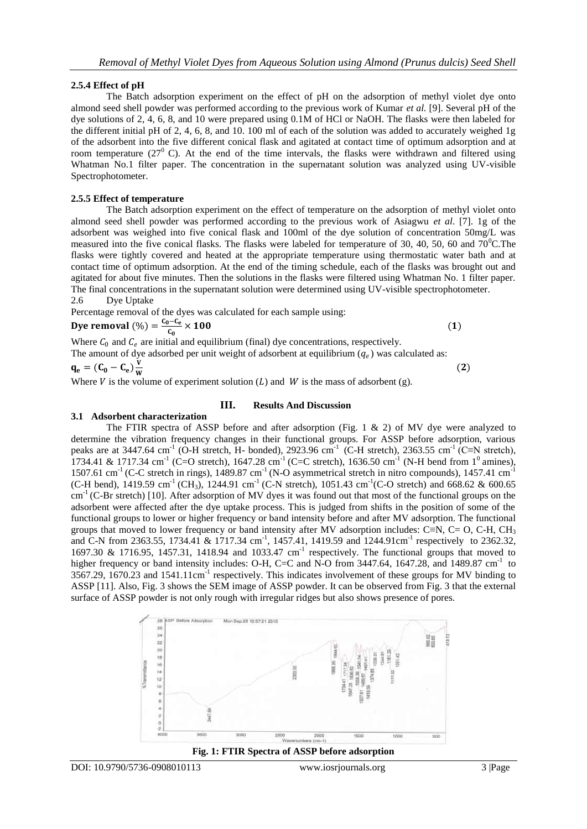#### **2.5.4 Effect of pH**

The Batch adsorption experiment on the effect of pH on the adsorption of methyl violet dye onto almond seed shell powder was performed according to the previous work of Kumar *et al.* [9]. Several pH of the dye solutions of 2, 4, 6, 8, and 10 were prepared using 0.1M of HCl or NaOH. The flasks were then labeled for the different initial pH of 2, 4, 6, 8, and 10. 100 ml of each of the solution was added to accurately weighed 1g of the adsorbent into the five different conical flask and agitated at contact time of optimum adsorption and at room temperature  $(27<sup>0</sup>)$  C). At the end of the time intervals, the flasks were withdrawn and filtered using Whatman No.1 filter paper. The concentration in the supernatant solution was analyzed using UV-visible Spectrophotometer.

#### **2.5.5 Effect of temperature**

The Batch adsorption experiment on the effect of temperature on the adsorption of methyl violet onto almond seed shell powder was performed according to the previous work of Asiagwu *et al*. [7]. 1g of the adsorbent was weighed into five conical flask and 100ml of the dye solution of concentration 50mg/L was measured into the five conical flasks. The flasks were labeled for temperature of 30, 40, 50, 60 and  $70^{\circ}$ C.The flasks were tightly covered and heated at the appropriate temperature using thermostatic water bath and at contact time of optimum adsorption. At the end of the timing schedule, each of the flasks was brought out and agitated for about five minutes. Then the solutions in the flasks were filtered using Whatman No. 1 filter paper. The final concentrations in the supernatant solution were determined using UV-visible spectrophotometer. 2.6 Dye Uptake

Percentage removal of the dyes was calculated for each sample using: Dye removal  $(\%) = \frac{C_0 - C_e}{C}$  $\times$  100 (1)

 $(2)$ 

Where  $C_0$  and  $C_e$  are initial and equilibrium (final) dye concentrations, respectively. The amount of dye adsorbed per unit weight of adsorbent at equilibrium  $(q_e)$  was calculated as:

 $\mathbf{q}_{\mathbf{e}} = (\mathbf{C_0} - \mathbf{C_e})\frac{\mathbf{v}}{\mathbf{w}}$ W

Where V is the volume of experiment solution  $(L)$  and W is the mass of adsorbent (g).

#### **3.1 Adsorbent characterization**

 $c_{0}$ 

# **III. Results And Discussion**

The FTIR spectra of ASSP before and after adsorption (Fig. 1 & 2) of MV dye were analyzed to determine the vibration frequency changes in their functional groups. For ASSP before adsorption, various peaks are at 3447.64 cm<sup>-1</sup> (O-H stretch, H- bonded), 2923.96 cm<sup>-1</sup> (C-H stretch), 2363.55 cm<sup>-1</sup> (C≡N stretch), 1734.41 & 1717.34 cm<sup>-1</sup> (C=O stretch), 1647.28 cm<sup>-1</sup> (C=C stretch), 1636.50 cm<sup>-1</sup> (N-H bend from 1<sup>0</sup> amines), 1507.61 cm<sup>-1</sup> (C-C stretch in rings), 1489.87 cm<sup>-1</sup> (N-O asymmetrical stretch in nitro compounds), 1457.41 cm<sup>-1</sup>  $(C-H \text{ bend})$ , 1419.59 cm<sup>-1</sup> (CH<sub>3</sub>), 1244.91 cm<sup>-1</sup> (C-N stretch), 1051.43 cm<sup>-1</sup> (C-O stretch) and 668.62 & 600.65  $cm<sup>-1</sup>$  (C-Br stretch) [10]. After adsorption of MV dyes it was found out that most of the functional groups on the adsorbent were affected after the dye uptake process. This is judged from shifts in the position of some of the functional groups to lower or higher frequency or band intensity before and after MV adsorption. The functional groups that moved to lower frequency or band intensity after MV adsorption includes: C≡N, C= O, C-H, CH<sub>3</sub> and C-N from 2363.55, 1734.41 & 1717.34 cm<sup>-1</sup>, 1457.41, 1419.59 and 1244.91cm<sup>-1</sup> respectively to 2362.32, 1697.30 & 1716.95, 1457.31, 1418.94 and 1033.47 cm<sup>-1</sup> respectively. The functional groups that moved to higher frequency or band intensity includes: O-H, C=C and N-O from 3447.64, 1647.28, and 1489.87 cm<sup>-1</sup> to  $3567.29$ ,  $1670.23$  and  $1541.11 \text{cm}^{-1}$  respectively. This indicates involvement of these groups for MV binding to ASSP [11]. Also, Fig. 3 shows the SEM image of ASSP powder. It can be observed from Fig. 3 that the external surface of ASSP powder is not only rough with irregular ridges but also shows presence of pores.





DOI: 10.9790/5736-0908010113 www.iosrjournals.org 3 |Page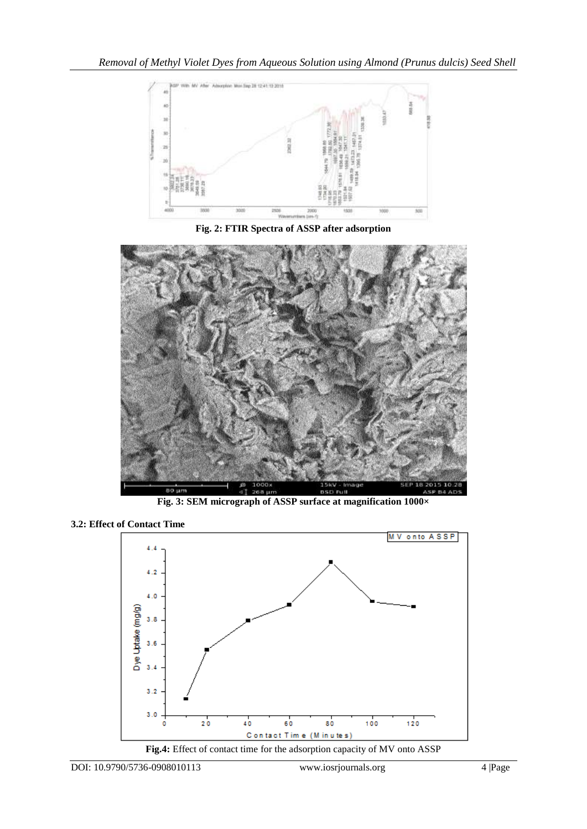

**Fig. 2: FTIR Spectra of ASSP after adsorption**



**Fig. 3: SEM micrograph of ASSP surface at magnification 1000×**

**<sup>3.2:</sup> Effect of Contact Time**

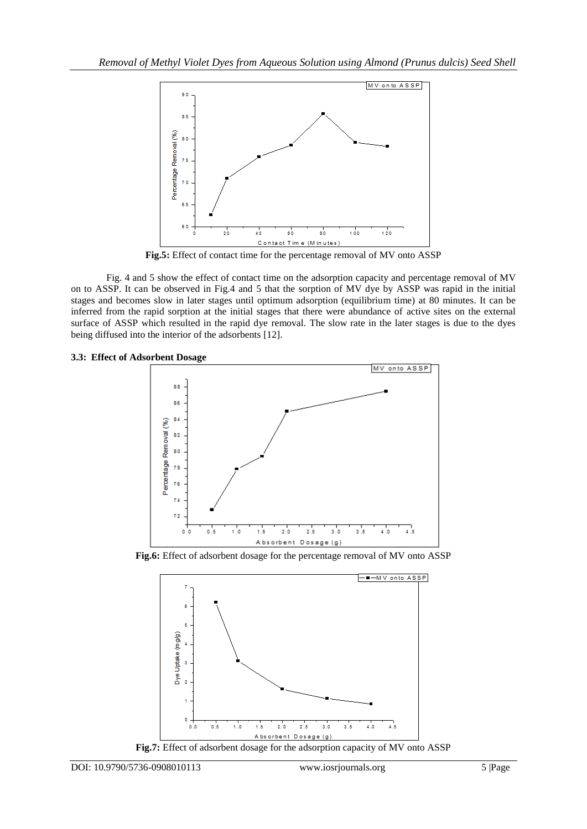

**Fig.5:** Effect of contact time for the percentage removal of MV onto ASSP

Fig. 4 and 5 show the effect of contact time on the adsorption capacity and percentage removal of MV on to ASSP. It can be observed in Fig.4 and 5 that the sorption of MV dye by ASSP was rapid in the initial stages and becomes slow in later stages until optimum adsorption (equilibrium time) at 80 minutes. It can be inferred from the rapid sorption at the initial stages that there were abundance of active sites on the external surface of ASSP which resulted in the rapid dye removal. The slow rate in the later stages is due to the dyes being diffused into the interior of the adsorbents [12].

#### **3.3: Effect of Adsorbent Dosage**



**Fig.6:** Effect of adsorbent dosage for the percentage removal of MV onto ASSP



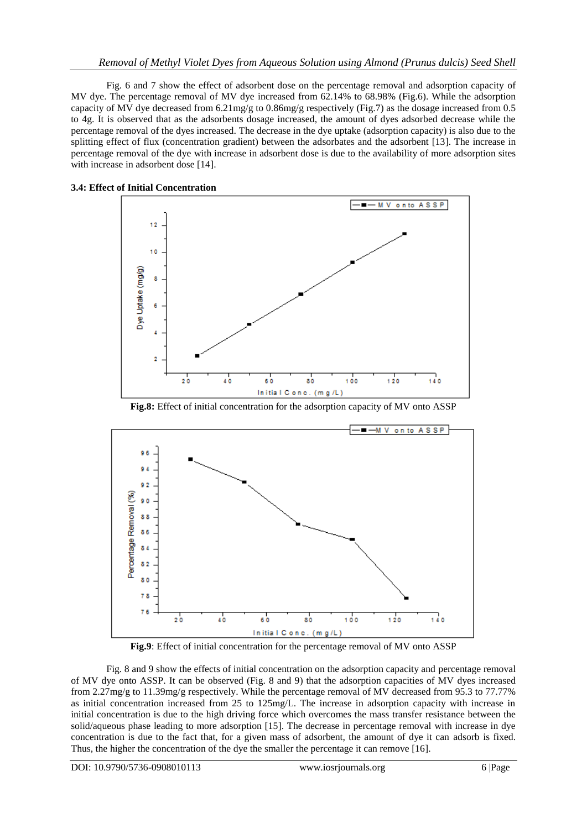Fig. 6 and 7 show the effect of adsorbent dose on the percentage removal and adsorption capacity of MV dye. The percentage removal of MV dye increased from 62.14% to 68.98% (Fig.6). While the adsorption capacity of MV dye decreased from 6.21mg/g to 0.86mg/g respectively (Fig.7) as the dosage increased from 0.5 to 4g. It is observed that as the adsorbents dosage increased, the amount of dyes adsorbed decrease while the percentage removal of the dyes increased. The decrease in the dye uptake (adsorption capacity) is also due to the splitting effect of flux (concentration gradient) between the adsorbates and the adsorbent [13]. The increase in percentage removal of the dye with increase in adsorbent dose is due to the availability of more adsorption sites with increase in adsorbent dose [14].





**Fig.8:** Effect of initial concentration for the adsorption capacity of MV onto ASSP



**Fig.9**: Effect of initial concentration for the percentage removal of MV onto ASSP

Fig. 8 and 9 show the effects of initial concentration on the adsorption capacity and percentage removal of MV dye onto ASSP. It can be observed (Fig. 8 and 9) that the adsorption capacities of MV dyes increased from 2.27mg/g to 11.39mg/g respectively. While the percentage removal of MV decreased from 95.3 to 77.77% as initial concentration increased from 25 to 125mg/L. The increase in adsorption capacity with increase in initial concentration is due to the high driving force which overcomes the mass transfer resistance between the solid/aqueous phase leading to more adsorption [15]. The decrease in percentage removal with increase in dye concentration is due to the fact that, for a given mass of adsorbent, the amount of dye it can adsorb is fixed. Thus, the higher the concentration of the dye the smaller the percentage it can remove [16].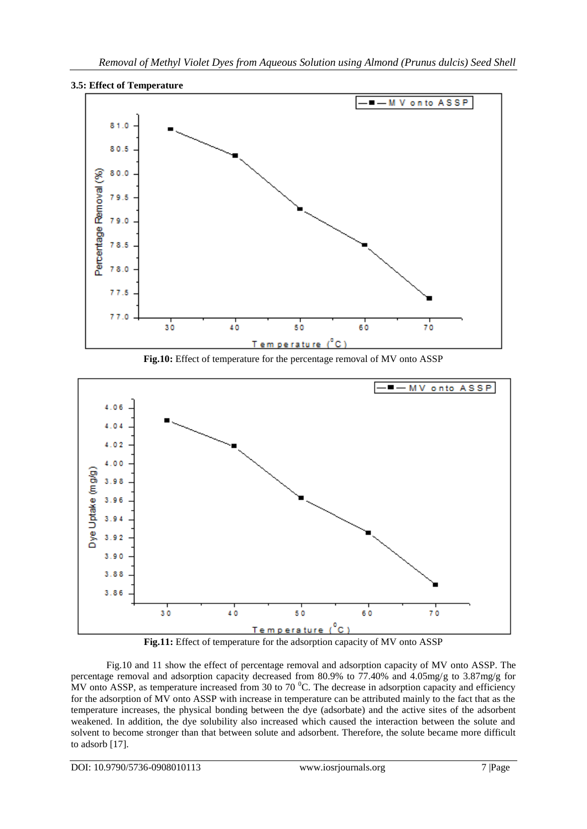

**3.5: Effect of Temperature**





**Fig.11:** Effect of temperature for the adsorption capacity of MV onto ASSP

Fig.10 and 11 show the effect of percentage removal and adsorption capacity of MV onto ASSP. The percentage removal and adsorption capacity decreased from 80.9% to 77.40% and 4.05mg/g to 3.87mg/g for MV onto ASSP, as temperature increased from 30 to 70  $^{\circ}$ C. The decrease in adsorption capacity and efficiency for the adsorption of MV onto ASSP with increase in temperature can be attributed mainly to the fact that as the temperature increases, the physical bonding between the dye (adsorbate) and the active sites of the adsorbent weakened. In addition, the dye solubility also increased which caused the interaction between the solute and solvent to become stronger than that between solute and adsorbent. Therefore, the solute became more difficult to adsorb [17].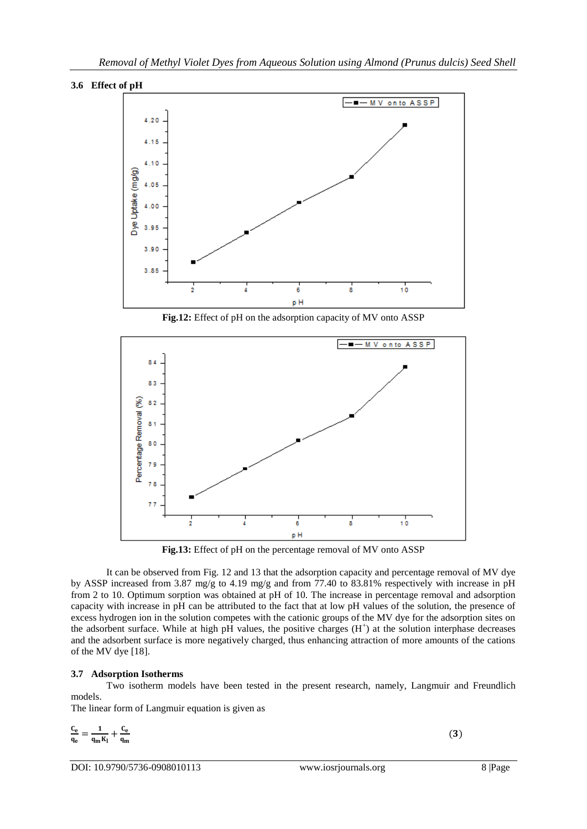



**Fig.12:** Effect of pH on the adsorption capacity of MV onto ASSP



**Fig.13:** Effect of pH on the percentage removal of MV onto ASSP

It can be observed from Fig. 12 and 13 that the adsorption capacity and percentage removal of MV dye by ASSP increased from 3.87 mg/g to 4.19 mg/g and from 77.40 to 83.81% respectively with increase in pH from 2 to 10. Optimum sorption was obtained at pH of 10. The increase in percentage removal and adsorption capacity with increase in pH can be attributed to the fact that at low pH values of the solution, the presence of excess hydrogen ion in the solution competes with the cationic groups of the MV dye for the adsorption sites on the adsorbent surface. While at high pH values, the positive charges (H<sup>+</sup>) at the solution interphase decreases and the adsorbent surface is more negatively charged, thus enhancing attraction of more amounts of the cations of the MV dye [18].

# **3.7 Adsorption Isotherms**

Two isotherm models have been tested in the present research, namely, Langmuir and Freundlich models.

The linear form of Langmuir equation is given as

$$
\frac{C_e}{q_e} = \frac{1}{q_m K_l} + \frac{C_e}{q_m}
$$

DOI: 10.9790/5736-0908010113 www.iosrjournals.org 8 |Page

 $(3)$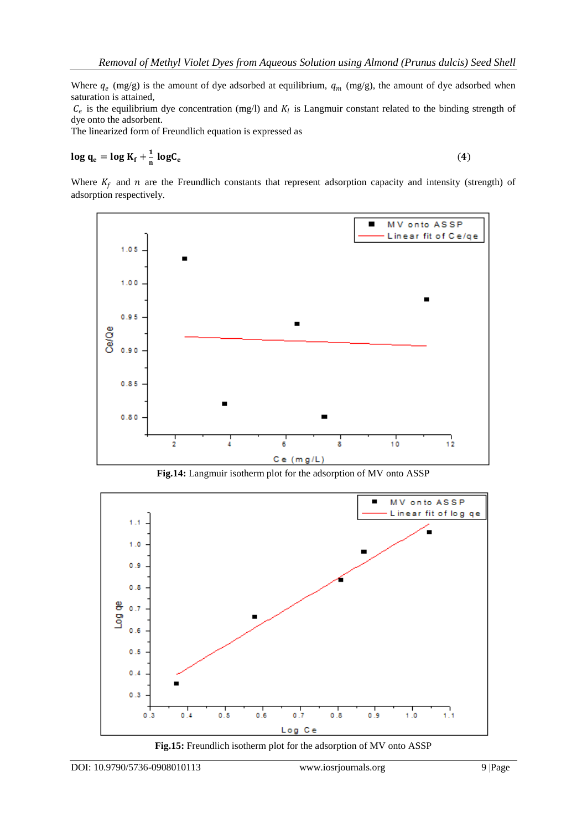Where  $q_e$  (mg/g) is the amount of dye adsorbed at equilibrium,  $q_m$  (mg/g), the amount of dye adsorbed when saturation is attained,

 $C_e$  is the equilibrium dye concentration (mg/l) and  $K_l$  is Langmuir constant related to the binding strength of dye onto the adsorbent.

The linearized form of Freundlich equation is expressed as

$$
\log q_e = \log K_f + \frac{1}{n} \log C_e \tag{4}
$$

Where  $K_f$  and  $n$  are the Freundlich constants that represent adsorption capacity and intensity (strength) of adsorption respectively.



**Fig.14:** Langmuir isotherm plot for the adsorption of MV onto ASSP



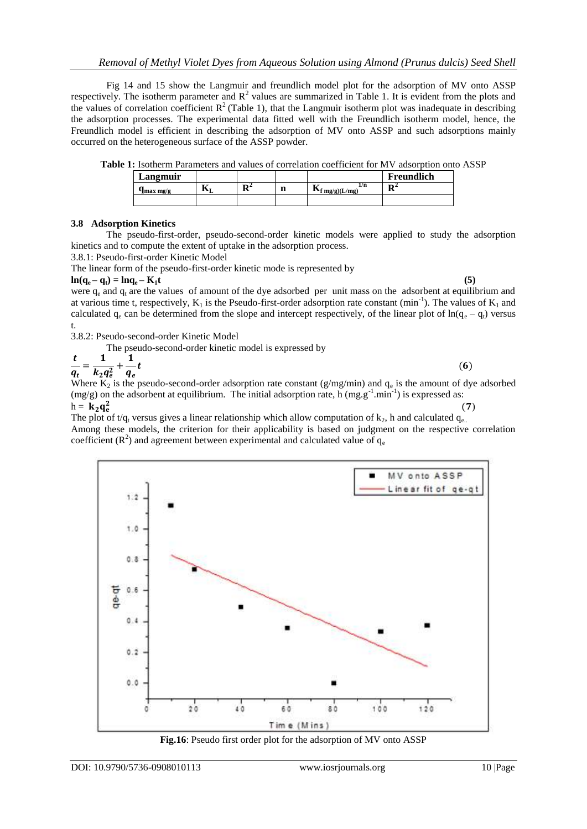Fig 14 and 15 show the Langmuir and freundlich model plot for the adsorption of MV onto ASSP respectively. The isotherm parameter and  $R^2$  values are summarized in Table 1. It is evident from the plots and the values of correlation coefficient  $R^2$  (Table 1), that the Langmuir isotherm plot was inadequate in describing the adsorption processes. The experimental data fitted well with the Freundlich isotherm model, hence, the Freundlich model is efficient in describing the adsorption of MV onto ASSP and such adsorptions mainly occurred on the heterogeneous surface of the ASSP powder.

|  |  |  | <b>Table 1:</b> Isotherm Parameters and values of correlation coefficient for MV adsorption onto ASSP |
|--|--|--|-------------------------------------------------------------------------------------------------------|
|  |  |  |                                                                                                       |

| Langmuir              |   |    |        |                                            | Freundlich |
|-----------------------|---|----|--------|--------------------------------------------|------------|
| $q_{\rm max \, mg/g}$ | M | m4 | m<br>ш | 1/n<br>$\mathbf{R}_{\text{f}}$ mg/g)(L/mg) | m4         |
|                       |   |    |        |                                            |            |

# **3.8 Adsorption Kinetics**

The pseudo-first-order, pseudo-second-order kinetic models were applied to study the adsorption kinetics and to compute the extent of uptake in the adsorption process.

3.8.1: Pseudo-first-order Kinetic Model

The linear form of the pseudo-first-order kinetic mode is represented by

$$
\ln(q_e - q_t) = \ln q_e - K_1 t \tag{5}
$$

were  $q_e$  and  $q_t$  are the values of amount of the dye adsorbed per unit mass on the adsorbent at equilibrium and at various time t, respectively,  $K_1$  is the Pseudo-first-order adsorption rate constant  $(min^{-1})$ . The values of  $K_1$  and calculated  $q_e$  can be determined from the slope and intercept respectively, of the linear plot of  $ln(q_e - q_t)$  versus t.

3.8.2: Pseudo-second-order Kinetic Model

The pseudo-second-order kinetic model is expressed by

$$
\frac{t}{q_t} = \frac{1}{k_2 q_e^2} + \frac{1}{q_e} t
$$
\n(6)

Where  $K_2$  is the pseudo-second-order adsorption rate constant (g/mg/min) and  $q_e$  is the amount of dye adsorbed  $(mg/g)$  on the adsorbent at equilibrium. The initial adsorption rate, h  $(mg.g^{-1}.min^{-1})$  is expressed as:  $h = \mathbf{k}_2 \mathbf{q_e^2}$  $(7)$ 

The plot of  $t/q_t$  versus gives a linear relationship which allow computation of  $k_2$ , h and calculated  $q_{e..}$ Among these models, the criterion for their applicability is based on judgment on the respective correlation coefficient ( $\mathbb{R}^2$ ) and agreement between experimental and calculated value of  $q_e$ 



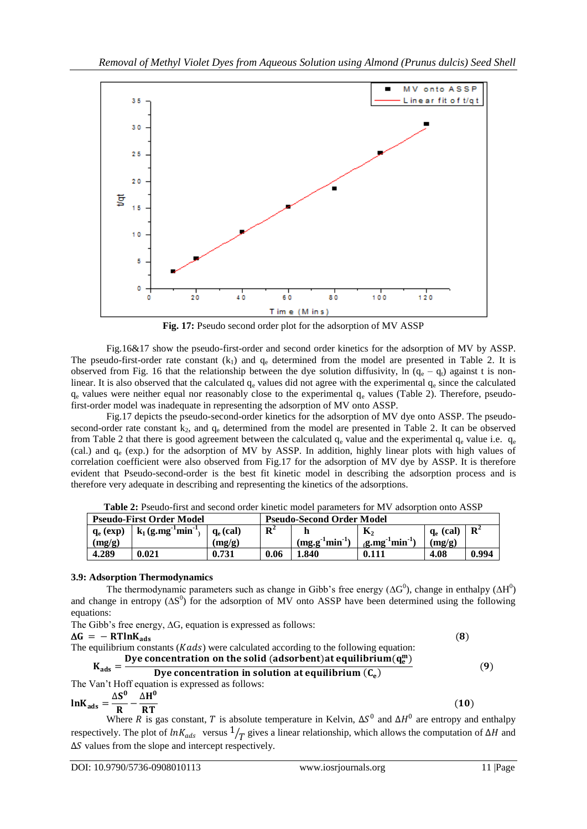

**Fig. 17:** Pseudo second order plot for the adsorption of MV ASSP

Fig.16&17 show the pseudo-first-order and second order kinetics for the adsorption of MV by ASSP. The pseudo-first-order rate constant  $(k_1)$  and  $q_e$  determined from the model are presented in Table 2. It is observed from Fig. 16 that the relationship between the dye solution diffusivity, ln  $(q_e - q_t)$  against t is nonlinear. It is also observed that the calculated  $q_e$  values did not agree with the experimental  $q_e$  since the calculated  $q_e$  values were neither equal nor reasonably close to the experimental  $q_e$  values (Table 2). Therefore, pseudofirst-order model was inadequate in representing the adsorption of MV onto ASSP.

Fig.17 depicts the pseudo-second-order kinetics for the adsorption of MV dye onto ASSP. The pseudosecond-order rate constant  $k_2$ , and  $q_e$  determined from the model are presented in Table 2. It can be observed from Table 2 that there is good agreement between the calculated  $q_e$  value and the experimental  $q_e$  value i.e.  $q_e$ (cal.) and  $q_e$  (exp.) for the adsorption of MV by ASSP. In addition, highly linear plots with high values of correlation coefficient were also observed from Fig.17 for the adsorption of MV dye by ASSP. It is therefore evident that Pseudo-second-order is the best fit kinetic model in describing the adsorption process and is therefore very adequate in describing and representing the kinetics of the adsorptions.

| <b>Pseudo-First Order Model</b> |                                    |                      | <b>Pseudo-Second Order Model</b> |                |                                   |             |                |
|---------------------------------|------------------------------------|----------------------|----------------------------------|----------------|-----------------------------------|-------------|----------------|
| $q_e$ (exp)                     | $\mathrm{min}^{-1}$<br>$k_1$ (g.mg | $\mathbf{a}_0$ (cal) | ${\bf n}^2$                      |                | К,                                | $q_e$ (cal) | $\mathbf{R}^2$ |
| (mg/g)                          |                                    | (mg/g)               |                                  | $(mg.g1min-1)$ | $\text{min}^{-1}$<br>$\alpha$ .mg | (mg/g)      |                |
| 4.289                           | 0.021                              | 0.731                | 0.06                             | l.840          | 0.111                             | 4.08        | 0.994          |

**Table 2:** Pseudo-first and second order kinetic model parameters for MV adsorption onto ASSP

#### **3.9: Adsorption Thermodynamics**

The thermodynamic parameters such as change in Gibb's free energy ( $\Delta G^0$ ), change in enthalpy ( $\Delta H^0$ ) and change in entropy  $(\Delta S^0)$  for the adsorption of MV onto ASSP have been determined using the following equations:

| The Gibb's free energy, $\Delta G$ , equation is expressed as follows:                  |     |
|-----------------------------------------------------------------------------------------|-----|
| $\Delta G = - R T ln K_{ads}$                                                           | (8) |
| The equilibrium constants $(Kads)$ were calculated according to the following equation: |     |
| Dye concentration on the solid (adsorbent) at equilibrium $(q_e^m)$                     |     |
| $K_{ads} = -$<br>Dye concentration in solution at equilibrium $(C_e)$                   | (9) |
| The Van't Hoff equation is expressed as follows:                                        |     |
| $\Delta S^0$ $\Delta H^0$                                                               |     |
| $ln K_{ads} = \frac{1}{R} - \frac{1}{RT}$                                               | (10 |

Where R is gas constant, T is absolute temperature in Kelvin,  $\Delta S^0$  and  $\Delta H^0$  are entropy and enthalpy respectively. The plot of  $ln K_{ads}$  versus  $\frac{1}{T}$  gives a linear relationship, which allows the computation of ∆*H* and  $\Delta S$  values from the slope and intercept respectively.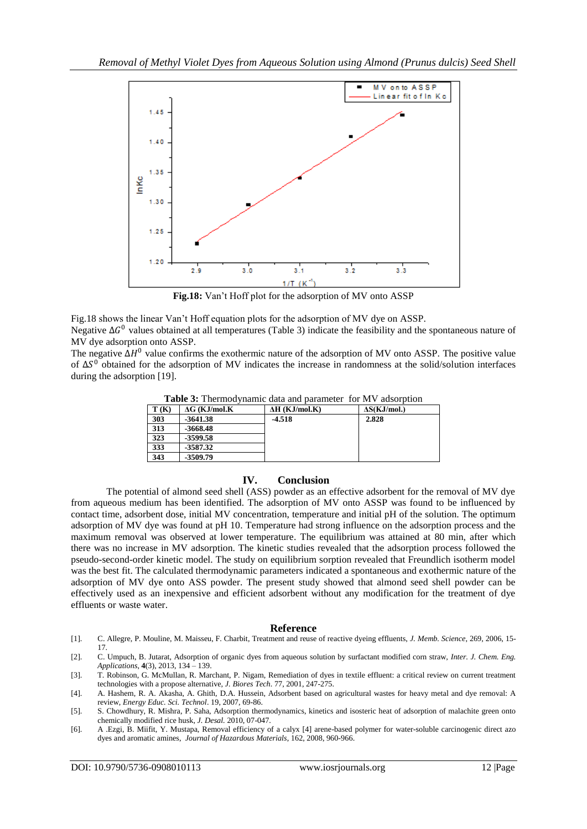

**Fig.18:** Van't Hoff plot for the adsorption of MV onto ASSP

Fig.18 shows the linear Van't Hoff equation plots for the adsorption of MV dye on ASSP. Negative  $\Delta G^0$  values obtained at all temperatures (Table 3) indicate the feasibility and the spontaneous nature of MV dye adsorption onto ASSP.

The negative  $\Delta H^0$  value confirms the exothermic nature of the adsorption of MV onto ASSP. The positive value of  $\Delta S^0$  obtained for the adsorption of MV indicates the increase in randomness at the solid/solution interfaces during the adsorption [19].

**Table 3:** Thermodynamic data and parameter for MV adsorption

| T(K) | $\Delta G$ (KJ/mol.K) | $\Delta H$ (KJ/mol.K) | $\Delta S(KJ/mol.)$ |
|------|-----------------------|-----------------------|---------------------|
| 303  | $-3641.38$            | $-4.518$              | 2.828               |
| 313  | $-3668.48$            |                       |                     |
| 323  | -3599.58              |                       |                     |
| 333  | $-3587.32$            |                       |                     |
| 343  | -3509.79              |                       |                     |

# **IV. Conclusion**

The potential of almond seed shell (ASS) powder as an effective adsorbent for the removal of MV dye from aqueous medium has been identified. The adsorption of MV onto ASSP was found to be influenced by contact time, adsorbent dose, initial MV concentration, temperature and initial pH of the solution. The optimum adsorption of MV dye was found at pH 10. Temperature had strong influence on the adsorption process and the maximum removal was observed at lower temperature. The equilibrium was attained at 80 min, after which there was no increase in MV adsorption. The kinetic studies revealed that the adsorption process followed the pseudo-second-order kinetic model. The study on equilibrium sorption revealed that Freundlich isotherm model was the best fit. The calculated thermodynamic parameters indicated a spontaneous and exothermic nature of the adsorption of MV dye onto ASS powder. The present study showed that almond seed shell powder can be effectively used as an inexpensive and efficient adsorbent without any modification for the treatment of dye effluents or waste water.

#### **Reference**

[1]. C. Allegre, P. Mouline, M. Maisseu, F. Charbit, Treatment and reuse of reactive dyeing effluents, *J. Memb. Science*, 269, 2006, 15- 17.

[2]. C. Umpuch, B. Jutarat, Adsorption of organic dyes from aqueous solution by surfactant modified corn straw, *Inter. J. Chem. Eng. Applications*, **4**(3), 2013, 134 – 139.

[3]. T. Robinson, G. McMullan, R. Marchant, P. Nigam, Remediation of dyes in textile effluent: a critical review on current treatment technologies with a propose alternative*, J. Biores Tech*. 77, 2001, 247-275.

<sup>[4].</sup> A. Hashem, R. A. Akasha, A. Ghith, D.A. Hussein, Adsorbent based on agricultural wastes for heavy metal and dye removal: A review, *Energy Educ. Sci. Technol*. 19, 2007, 69-86.

<sup>[5].</sup> S. Chowdhury, R. Mishra, P. Saha, Adsorption thermodynamics, kinetics and isosteric heat of adsorption of malachite green onto chemically modified rice husk, *J. Desal.* 2010, 07-047.

<sup>[6].</sup> A .Ezgi, B. Miifit, Y. Mustapa, Removal efficiency of a calyx [4] arene-based polymer for water-soluble carcinogenic direct azo dyes and aromatic amines, *Journal of Hazardous Materials*, 162, 2008, 960-966.